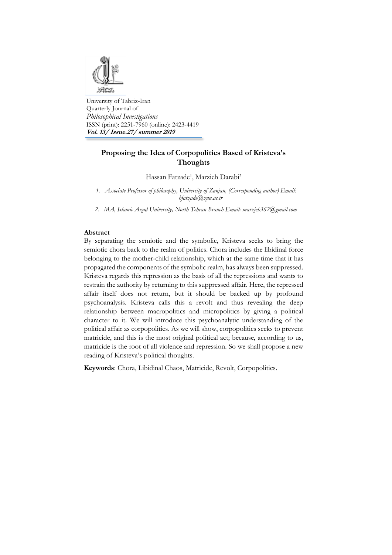

University of Tabriz-Iran Quarterly Journal of *Philosophical Investigations* ISSN (print): 2251-7960 (online): 2423-4419 **Vol. 13/ Issue.27/ summer 2019** 

# **Proposing the Idea of Corpopolitics Based of Kristeva's Thoughts**

Hassan Fatzade<sup>1</sup> , Marzieh Darabi<sup>2</sup>

*1. Associate Professor of philosophy, University of Zanjan, (Corresponding author) Email: [hfatzade@znu.ac.ir](mailto:hfatzade@znu.ac.ir)*

*2. MA, Islamic Azad University, North Tehran Branch Email: marzieh362@gmail.com*

### **Abstract**

By separating the semiotic and the symbolic, Kristeva seeks to bring the semiotic chora back to the realm of politics. Chora includes the libidinal force belonging to the mother-child relationship, which at the same time that it has propagated the components of the symbolic realm, has always been suppressed. Kristeva regards this repression as the basis of all the repressions and wants to restrain the authority by returning to this suppressed affair. Here, the repressed affair itself does not return, but it should be backed up by profound psychoanalysis. Kristeva calls this a revolt and thus revealing the deep relationship between macropolitics and micropolitics by giving a political character to it. We will introduce this psychoanalytic understanding of the political affair as corpopolitics. As we will show, corpopolitics seeks to prevent matricide, and this is the most original political act; because, according to us, matricide is the root of all violence and repression. So we shall propose a new reading of Kristeva's political thoughts.

**Keywords**: Chora, Libidinal Chaos, Matricide, Revolt, Corpopolitics.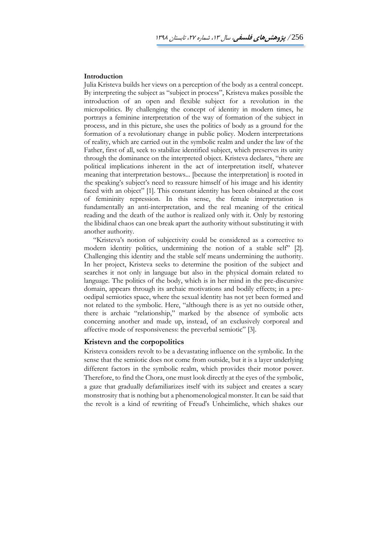### **Introduction**

Julia Kristeva builds her views on a perception of the body as a central concept. By interpreting the subject as "subject in process", Kristeva makes possible the introduction of an open and flexible subject for a revolution in the micropolitics. By challenging the concept of identity in modern times, he portrays a feminine interpretation of the way of formation of the subject in process, and in this picture, she uses the politics of body as a ground for the formation of a revolutionary change in public policy. Modern interpretations of reality, which are carried out in the symbolic realm and under the law of the Father, first of all, seek to stabilize identified subject, which preserves its unity through the dominance on the interpreted object. Kristeva declares, "there are political implications inherent in the act of interpretation itself, whatever meaning that interpretation bestows... [because the interpretation] is rooted in the speaking's subject's need to reassure himself of his image and his identity faced with an object" [1]. This constant identity has been obtained at the cost of femininity repression. In this sense, the female interpretation is fundamentally an anti-interpretation, and the real meaning of the critical reading and the death of the author is realized only with it. Only by restoring the libidinal chaos can one break apart the authority without substituting it with another authority.

"Kristeva's notion of subjectivity could be considered as a corrective to modern identity politics, undermining the notion of a stable self" [2]. Challenging this identity and the stable self means undermining the authority. In her project, Kristeva seeks to determine the position of the subject and searches it not only in language but also in the physical domain related to language. The politics of the body, which is in her mind in the pre-discursive domain, appears through its archaic motivations and bodily effects; in a preoedipal semiotics space, where the sexual identity has not yet been formed and not related to the symbolic. Here, "although there is as yet no outside other, there is archaic "relationship," marked by the absence of symbolic acts concerning another and made up, instead, of an exclusively corporeal and affective mode of responsiveness: the preverbal semiotic" [3].

#### **Kristevn and the corpopolitics**

Kristeva considers revolt to be a devastating influence on the symbolic. In the sense that the semiotic does not come from outside, but it is a layer underlying different factors in the symbolic realm, which provides their motor power. Therefore, to find the Chora, one must look directly at the eyes of the symbolic, a gaze that gradually defamiliarizes itself with its subject and creates a scary monstrosity that is nothing but a phenomenological monster. It can be said that the revolt is a kind of rewriting of Freud's Unheimliche, which shakes our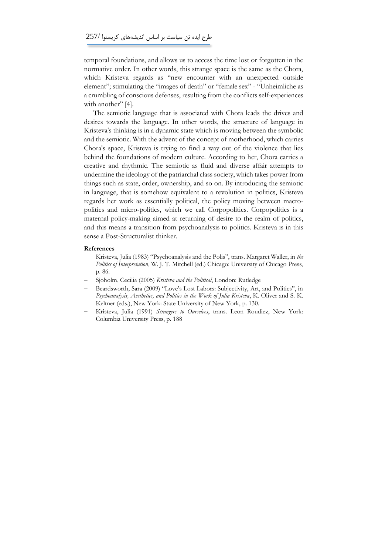## طرح ایده تن سیاست بر اساس اندیشههای کریستوا 257/

temporal foundations, and allows us to access the time lost or forgotten in the normative order. In other words, this strange space is the same as the Chora, which Kristeva regards as "new encounter with an unexpected outside element"; stimulating the "images of death" or "female sex" - "Unheimliche as a crumbling of conscious defenses, resulting from the conflicts self-experiences with another" [4].

The semiotic language that is associated with Chora leads the drives and desires towards the language. In other words, the structure of language in Kristeva's thinking is in a dynamic state which is moving between the symbolic and the semiotic. With the advent of the concept of motherhood, which carries Chora's space, Kristeva is trying to find a way out of the violence that lies behind the foundations of modern culture. According to her, Chora carries a creative and rhythmic. The semiotic as fluid and diverse affair attempts to undermine the ideology of the patriarchal class society, which takes power from things such as state, order, ownership, and so on. By introducing the semiotic in language, that is somehow equivalent to a revolution in politics, Kristeva regards her work as essentially political, the policy moving between macropolitics and micro-politics, which we call Corpopolitics. Corpopolitics is a maternal policy-making aimed at returning of desire to the realm of politics, and this means a transition from psychoanalysis to politics. Kristeva is in this sense a Post-Structuralist thinker.

#### **References**

- Kristeva, Julia (1983) "Psychoanalysis and the Polis", trans. Margaret Waller, in *the Politics of Interpretation*, W. J. T. Mitchell (ed.) Chicago: University of Chicago Press, p. 86.
- Sjoholm, Cecilia (2005) *Kristeva and the Political*, London: Rutledge
- Beardsworth, Sara (2009) "Love's Lost Labors: Subjectivity, Art, and Politics", in *Psychoanalysis, Aesthetics, and Politics in the Work of Julia Kristeva*, K. Oliver and S. K. Keltner (eds.), New York: State University of New York, p. 130.
- Kristeva, Julia (1991) *Strangers to Ourselves*, trans. Leon Roudiez, New York: Columbia University Press, p. 188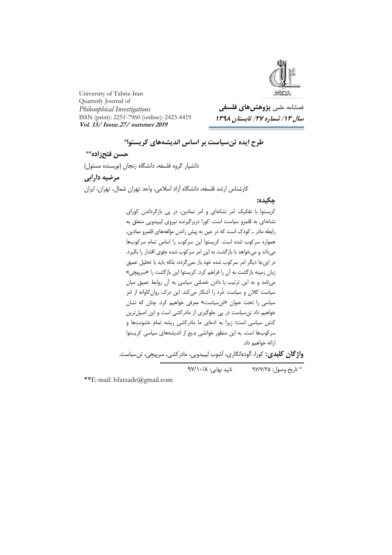

University of Tabriz-Iran Quarterly Journal of *Philosophical Investigations* ISSN (print): 2251-7960 (online): 2423-4419 **Vol. 13/ Issue.27/ summer 2019** 

فصلنامه علمی **پژوهشهای فلسفی سال /31 شماره /72 تابستان 3131**

**\* طرح ايده تنسياست بر اساس انديشههای کريستوا**

**حسن فتحزاده\*\***

دانشیار گروه فلسفه، دانشگاه زنجان )نویسنده مسئول(

**مرضيه دارابی**

کارشناس ارشد فلسفه، دانشگاه آزاد اسالمی، واحد تهران شمال، تهران، ایران

## **چکيده:**

کریستوا با تفکیک امر نشانهای و امر نمادین، در پی بازگرداندن کورای نشانهای به قلمرو سیاست است. کورا دربرگیرنده نیروی لیبیدویی متعلق به رابطه مادر ـ کودک است که در عین به پیش راندن مؤلفههای قلمرو نمادین، همواره سرکوب شده است. کریستوا این سرکوب را اساس تمام سرکوبها میداند و میخواهد با بازگشت به این امر سرکوب شده جلوی اقتدار را بگیرد. در این جا دیگر امر سرکوب شده خود باز نمی گردد، بلکه باید با تحلیل عمیق زبان زمینه بازگشت به آن را فراهم کرد. کریستوا این بازگشت را »سرپیچی« مینامد و به این ترتیب با دادن خصلتی سیاسی به آن روابط عمیق میان سیاست کالن و سیاست خُرد را آشکار میکند. این درک روانکاوانه از امر سیاسی را تحت عنوان »تنسیاست« معرفی خواهیم کرد. چنان که نشان خواهیم داد تنسیاست در پی جلوگیری از مادرکشی است و این اصیلترین کنش سیاسی است؛ زیرا به ادعای ما مادرکشی ریشه تمام خشونتها و سرکوبها است. به این منظور خوانشی بدیع از اندیشههای سیاسی کریستوا ارائه خواهیم داد.

**واژگان کليدی:** کورا، آلودهانگاری، آشوب لیبیدویی، مادرکشی، سرپیچی، تنسیاست.

تاریخ وصول: 32/2/72 تایید نهایی: 32/31/1 \*

\*\*E-mail: hfatzade@gmail.com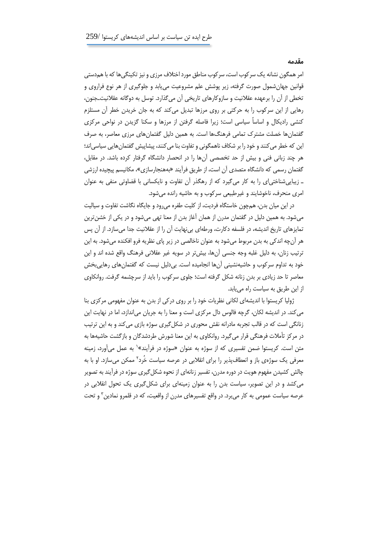#### **مقدمه**

امر همگون نشانه یک سرکوب است، سرکوب مناطق مورد اختالف مرزی و نیز تکینگیها که با همدستی قوانین جهانشمول صورت گرفته، زیر پوشش علم مشروعیت مییابد و جلوگیری از هر نوع فراروی و تخطی از آن را برعهده عقالنیت و سازوکارهای تاریخی آن میگذارد. توسل به دوگانه عقالنیتـجنون، رهایی از این سرکوب را به حرکتی بر روی مرزها تبدیل میکند که به جان خریدن خطر آن مستلزم کنشی رادیکال و اساساً سیاسی است؛ زیرا فاصله گرفتن از مرزها و سکنا گزیدن در نواحی مرکزی گفتمانها خصلت مشترک تمامی فرهنگها است. به همین دلیل گفتمانهای مرزی معاصر، به صرف این که خطر میکنند و خود را بر شکاف ناهمگونی و تفاوت بنا میکنند، پیشاپیش گفتمانهایی سیاسیاند؛ هر چند زبانی فنی و بیش از حد تخصصی آنها را در انحصار دانشگاه گرفتار کرده باشد. در مقابل، گفتمان رسمی که دانشگاه متصدی آن است، از طریق فرآیند «بههنجارسازی»، مکانیسم پیچیده ارزشی ـ زیباییشناختیای را به کار میگیرد که از رهگذر آن تفاوت و نایکسانی با قضاوتی منفی به عنوان امری منحرف، ناخوشایند و غیرطبیعی سرکوب و به حاشیه رانده میشود.

در این میان بدن، همچون خاستگاه فردیت، از کلیت طفره میرود و جایگاه نگاشت تفاوت و سیالیت میشود. به همین دلیل در گفتمان مدرن از همان آغاز بدن از معنا تهی میشود و در یکی از خشنترین تمایزهای تاریخ اندیشه، در فلسفه دکارت، ورطهای بینهایت آن را از عقالنیت جدا میسازد. از آن پس هر آنچه اندکی به بدن مربوط میشود به عنوان ناخالصی در زیر پای نظریه فرو افکنده میشود. به این ترتیب زنان، به دلیل غلبه وجه جنسی آنها، بیشتر در سویه غیر عقالنی فرهنگ واقع شده اند و این خود به تداوم سرکوب و حاشیهنشینی آنها انجامیده است. بیدلیل نیست که گفتمانهای رهاییبخش معاصر تا حد زیادی بر بدن زنانه شکل گرفته است؛ جلوی سرکوب را باید از سرچشمه گرفت. روانکاوی از این طریق به سیاست راه مییابد.

ژولیا کریستوا با اندیشهای لکانی نظریات خود را بر روی درکی از بدن به عنوان مفهومی مرکزی بنا میکند. در اندیشه لکان، گرچه فالوس دال مرکزی است و معنا را به جریان میاندازد، اما در نهایت این زنانگی است که در قالب تجربه مادرانه نقش محوری در شکلگیری سوژه بازی میکند و به این ترتیب در مرکز تأمالت فرهنگی قرار میگیرد. روانکاوی به این معنا شورش طردشدگان و بازگشت حاشیهها به متن است. کریستوا ضمن تفسیری که از سوژه به عنوان «سوژه در فرآیند»<sup>۱</sup> به عمل میآورد، زمینه معرفی یک سوژهی باز و انعطافپذیر را برای انقلابی در عرصه سیاست خُرد<sup>۲</sup> ممکن میسازد. او با به چالش کشیدن مفهوم هویت در دوره مدرن، تفسیر زنانهای از نحوه شکلگیری سوژه در فرآیند به تصویر میکشد و در این تصویر، سیاست بدن را به عنوان زمینهای برای شکلگیری یک تحول انقالبی در عرصه سیاست عمومی به کار میبرد. در واقع تفسیرهای مدرن از واقعیت، که در قلمرو نمادین ؓ و تحت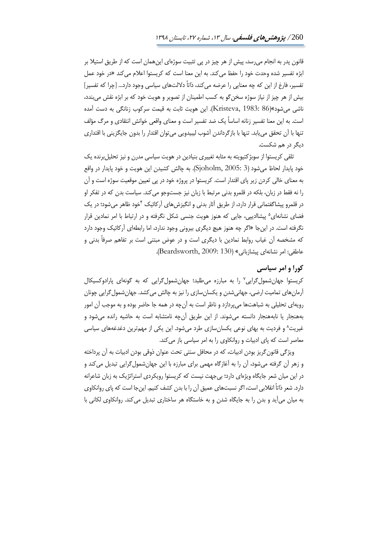قانون پدر به انجام میرسد، پیش از هر چیز در پی تثبیت سوژهای اینهمان است که از طریق استیال بر ابژه تفسیر شده وحدت خود را حفظ میکند. به این معنا است که کریستوا اعالم میکند »در خود عمل تفسیر، فارغ از این که چه معنایی را عرضه میکند، ذاتاً داللتهای سیاسی وجود دارد... ]چرا که تفسیر[ بیش از هر چیز از نیاز سوژه سخنگو به کسب اطمینان از تصویر و هویت خود که بر ابژه نقش میبندد، ناشی میشود«)86 1983: ,Kristeva). این هویت ثابت به قیمت سرکوب زنانگی به دست آمده است. به این معنا تفسیر زنانه اساساً یک ضد تفسیر است و معنای واقعی خوانش انتقادی و مرگ مؤلف تنها با آن تحقق مییابد. تنها با بازگرداندن آشوب لیبیدویی میتوان اقتدار را بدون جایگزینی با اقتداری دیگر در هم شکست.

تلقی کریستوا از سوبژکتیویته به مثابه تغییری بنیادین در هویت سیاسی مدرن و نیز تحلیلبرنده یک خود پایدار لحاظ میشود )3 2005: ,Sjoholm). به چالش کشیدن این هویت و خود پایدار در واقع به معنای خالی کردن زیر پای اقتدار است. کریستوا در پروژه خود در پی تعیین موقعیت سوژه است و آن را نه فقط در زبان، بلکه در قلمرو بدنی مرتبط با زبان نیز جستوجو میکند. سیاست بدن که در تفکر او در قلمرو پیشاگفتمانی قرار دارد، از طریق آثار بدنی و انگیزشهای آرکائیک <sup>۴</sup>خود ظاهر میشود؛ در یک فضای نشانهای<sup>۵</sup> پیشاادیپی، جایی که هنوز هویت جنسی شکل نگرفته و در ارتباط با امر نمادین قرار نگرفته است. در اینجا »اگر چه هنوز هیچ دیگری بیرونی وجود ندارد، اما رابطهای آرکائیک وجود دارد که مشخصه آن غیاب روابط نمادین با دیگری است و در عوض مبتنی است بر تفاهم صرفاً بدنی و عاطفی: امر نشانهای پیشازبانی« )130 2009: ,Beardsworth).

## **کورا و امر سياسی**

کریستوا جهانشمولگرایی<sup>۷</sup> را به مبارزه میطلبد؛ جهانشمولگرایی که به گونهای پارادوکسیکال آرمانهای تمامیت ارضی، جهانیشدن و یکسانسازی را نیز به چالش میکشد. جهانشمولگرایی چونان رویهای تحلیلی به شباهتها میپردازد و ناظر است به آنچه در همه جا حاضر بوده و به موجب آن امور بههنجار یا نابههنجار دانسته میشوند. از این طریق آنچه نامتشابه است به حاشیه رانده میشود و غیریت^ و فردیت به بهای نوعی یکسانسازی طرد میشود. این یکی از مهمترین دغدغههای سیاسی معاصر است که پای ادبیات و روانکاوی را به امر سیاسی باز میکند.

ویژگی قانونگریز بودن ادبیات، که در محافل سنتی تحت عنوان ذوقی بودن ادبیات به آن پرداخته و زهر آن گرفته میشود، آن را به آغازگاه مهمی برای مبارزه با این جهانشمولگرایی تبدیل میکند و در این میان شعر جایگاه ویژهای دارد؛ بیجهت نیست که کریستوا رویکردی استراتژیک به زبان شاعرانه دارد. شعر ذاتاً انقالبی است، اگر نسبتهای عمیق آن را با بدن کشف کنیم. اینجا است که پای روانکاوی به میان میآید و بدن را به جایگاه شدن و به خاستگاه هر ساختاری تبدیل میکند. روانکاوی لکانی با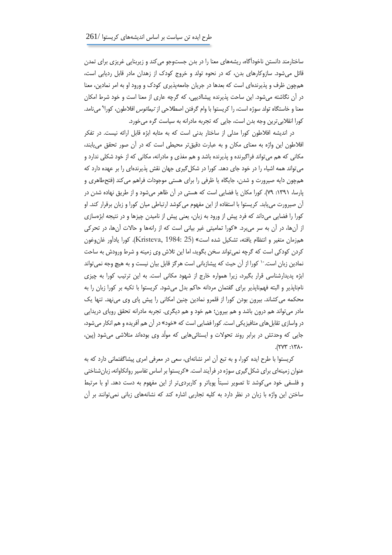ساختارمند دانستن ناخودآگاه، ریشههای معنا را در بدن جستوجو میکند و زیربنایی غریزی برای تمدن قائل میشود. سازوکارهای بدن، که در نحوه تولد و خروج کودک از زهدان مادر قابل ردیابی است، همچون ظرف و پذیرندهای است که بعدها در جریان جامعهپذیری کودک و ورود او به امر نمادین، معنا در آن نگاشته میشود. این ساحت پذیرنده پیشاادیپی، که گرچه عاری از معنا است و خود شرط امکان معنا و خاستگاه تولد سوژه است، را کریستوا با وام گرفتن اصطلاحی از *تیمائوس* افلاطون، کورا<sup>۹</sup> مینامد. کورا انقالبیترین وجه بدن است، جایی که تجربه مادرانه به سیاست گره میخورد.

در اندیشه افالطون کورا مدلی از ساختار بدنی است که به مثابه ابژه قابل ارائه نیست. در تفکر افالطون این واژه به معنای مکان و به عبارت دقیقتر محیطی است که در آن صور تحقق مییابند، مکانی که هم میتواند فراگیرنده و پذیرنده باشد و هم مغذی و مادرانه، مکانی که از خود شکلی ندارد و میتواند همه اشیاء را در خود جای دهد. کورا در شکلگیری جهان نقش پذیرندهای را بر عهده دارد که همچون دایه صیرورت و شدن، جایگاه یا ظرفی را برای هستی موجودات فراهم میکند )فتحطاهری و پارسا، :3133 23(. کورا مکان یا فضایی است که هستی در آن ظاهر میشود و از طریق نهاده شدن در آن صیرورت مییابد. کریستوا با استفاده از این مفهوم میکوشد ارتباطی میان کورا و زبان برقرار کند. او کورا را فضایی میداند که فرد پیش از ورود به زبان، یعنی پیش از نامیدن چیزها و در نتیجه ابژهسازی از آنها، در آن به سر میبرد. »کورا تمامیتی غیر بیانی است که از رانهها و حاالت آنها، در تحرکی همزمان متغیر و انتظام یافته، تشکیل شده است« )25 1984: ,Kristeva). کورا یادآور غانوغون کردن کودکی است که گرچه نمیتواند سخن بگوید، اما این تالش وی زمینه و شرط ورودش به ساحت نمادین زبان است. `` کورا از آن حیث که پیشازبانی است هرگز قابل بیان نیست و به هیچ وجه نمی تواند ابژه پدیدارشناسی قرار بگیرد، زیرا همواره خارج از شهود مکانی است. به این ترتیب کورا به چیزی نامناپذیر و البته فهمناپذیر برای گفتمان مردانه حاکم بدل میشود. کریستوا با تکیه بر کورا زبان را به محکمه میکشاند. بیرون بودن کورا از قلمرو نمادین چنین امکانی را پیش پای وی مینهد. تنها یک مادر میتواند هم درون باشد و هم بیرون؛ هم خود و هم دیگری. تجربه مادرانه تحقق رویای دریدایی در واسازی تقابلهای متافیزیکی است. کورا فضایی است که »خود« در آن هم آفریده و هم انکار میشود، جایی که وحدتش در برابر روند تحوالت و ایستائیهایی که مولّد وی بودهاند متالشی میشود )پین،  $\cdot$   $\wedge$   $\wedge$   $\cdots$   $\wedge$   $\wedge$ 

کریستوا با طرح ایده کورا، و به تبع آن امر نشانهای، سعی در معرفی امری پیشاگفتمانی دارد که به عنوان زمینهای برای شکلگیری سوژه در فرآیند است. »کریستوا بر اساس تفاسیر روانکاوانه، زبانشناختی و فلسفی خود میکوشد تا تصویر نسبتاً پویاتر و کاربردیتر از این مفهوم به دست دهد. او با مرتبط ساختن این واژه با زبان در نظر دارد به کلیه تجاربی اشاره کند که نشانههای زبانی نمیتوانند بر آن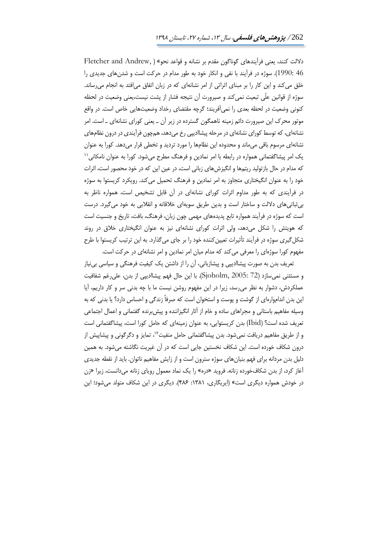داللت کنند، یعنی فرآیندهای گوناگون مقدم بر نشانه و قواعد نحو« ) ,Andrew and Fletcher 46 1990:(. سوژه در فرآیند با نفی و انکار خود به طور مدام در حرکت است و شدنهای جدیدی را خلق میکند و این کار را بر مبنای اثراتی از امر نشانهای که در زبان اتفاق میافتد به انجام میرساند. سوژه از قوانین علّی تبعیت نمیکند و صیرورت آن نتیجه فشار از پشت نیست،یعنی وضعیت در لحظه کنونی وضعیت در لحظه بعدی را نمیآفریند؛ گرچه مقتضای رخداد وضعیتهایی خاص است. در واقع موتور محرک این صیرورت دائم زمینه ناهمگون گسترده در زیر آن ـ یعنی کورای نشانهای ـ است. امر نشانهای، که توسط کورای نشانهای در مرحلهپیشاادیپی رخ میدهد، همچون فرآیندی در درون نظامهای نشانهای مرسوم باقی میماند و محدوده این نظامها را مورد تردید و تخطی قرار میدهد. کورا به عنوان 33 یک امر پیشاگفتمانی همواره در رابطه با امر نمادین و فرهنگ مطرح میشود. کورا به عنوان نامکانی که مدام در حال بازتولید ریتمها و انگیزشهای زبانی است، در عین این که در خود محصور است، اثرات خود را به عنوان انگیختاری متجاوز به امر نمادین و فرهنگ تحمیل میکند. رویکرد کریستوا به سوژه در فرآیندی که به طور مداوم اثرات کورای نشانهای در آن قابل تشخیص است، همواره ناظر به بیثباتیهای داللت و ساختار است و بدین طریق سویهای خالقانه و انقالبی به خود میگیرد. درست است که سوژه در فرآیند همواره تابع پدیدههای مهمی چون زبان، فرهنگ، بافت، تاریخ و جنسیت است که هویتش را شکل میدهد، ولی اثرات کورای نشانهای نیز به عنوان انگیختاری خالق در روند شکلگیری سوژه در فرآیند تأثیرات تعیینکننده خود را بر جای میگذارد. به این ترتیب کریستوا با طرح مفهوم کورا سوژهای را معرفی میکند که مدام میان امر نمادین و امر نشانهای در حرکت است.

تعریف بدن به صورت پیشاادیپی و پیشازبانی، آن را از داشتن یک کیفیت فرهنگی و سیاسی بینیاز و مستثنی نمیسازد )72 2005: ,Sjoholm). با این حال فهم پیشاادیپی از بدن، علیرغم شفافیت عملکردش، دشوار به نظر میرسد، زیرا در این مفهوم روشن نیست ما با چه بدنی سر و کار داریم، آیا این بدن انداموارهای از گوشت و پوست و استخوان است که صرفاً زندگی و احساس دارد؟ یا بدنی که به وسیله مفاهیم باستانی و مجراهای ساده و خام از آثار انگیزاننده و پیشبرنده گفتمانی و اعمال اجتماعی تعریف شده است؟ )Ibid )بدن کریستوایی، به عنوان زمینهای که حامل کورا است، پیشاگفتمانی است و از طریق مفاهیم دریافت نمیشود. بدن پیشاگفتمانی حامل منفیت<sup>۱۲</sup>، تمایز و دگرگونی و پیشاپیش از درون شکاف خورده است. این شکاف نخستین جایی است که در آن غیریت نگاشته میشود. به همین دلیل بدن مردانه برای فهم بنیانهای سوژه سترون است و از زایش مفاهیم ناتوان. باید از نقطه جدیدی آغاز کرد، از بدن شکافخورده زنانه. فروید »دره« را یک نماد معمول رویای زنانه میدانست، زیرا »زن در خودش همواره دیگری است« )ایریگاری، :3113 414(. دیگری در این شکاف متولد میشود؛ این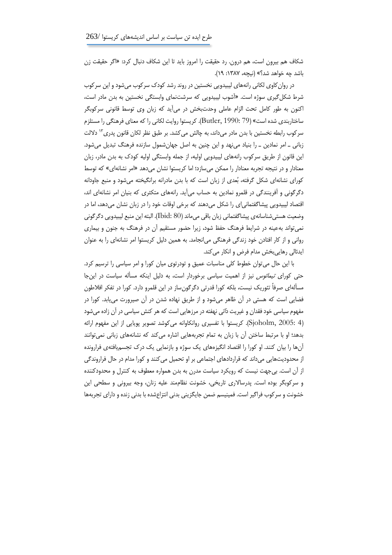شکاف هم بیرون است، هم درون. رد حقیقت را امروز باید تا این شکاف دنبال کرد: »اگر حقیقت زن باشد چه خواهد شد؟« )نیچه، :3112 33(.

در روانکاوی لکانی رانههای لیبیدویی نخستین در روند رشد کودک سرکوب میشود و این سرکوب شرط شکلگیری سوژه است. »آشوب لیبیدویی که سرشتنمای وابستگی نخستین به بدن مادر است، اکنون به طور کامل تحت الزام عاملی وحدتبخش در میآید که زبان وی توسط قانونی سرکوبگر ساختاربندی شده است« )79 1990: ,Butler). کریستوا روایت لکانی را که معنای فرهنگی را مستلزم سرکوب رابطه نخستین با بدن مادر میداند، به چالش میکشد. بر طبق نظر لکان قانون پدری<sup>۱۳</sup> دلالت زبانی ـ امر نمادین ـ را بنیاد مینهد و این چنین به اصل جهانشمول سازنده فرهنگ تبدیل میشود. این قانون از طریق سرکوب رانههای لیبیدویی اولیه، از جمله وابستگی اولیه کودک به بدن مادر، زبان معنادار و در نتیجه تجربه معنادار را ممکن میسازد؛ اما کریستوا نشان میدهد »امر نشانهای« که توسط کورای نشانهای شکل گرفته، بُعدی از زبان است که با بدن مادرانه برانگیخته میشود و منبع جاودانه دگرگونی و آفرینندگی در قلمرو نمادین به حساب میآید. رانههای متکثری که بنیان امر نشانهای اند، اقتصاد لیبیدویی پیشاگفتمانیای را شکل میدهند که برخی اوقات خود را در زبان نشان میدهد، اما در وضعیت هستیشناسانهی پیشاگفتمانی زبان باقی میماند )80 :Ibid). البته این منبع لیبیدویی دگرگونی نمیتواند بهعینه در شرایط فرهنگ حفظ شود، زیرا حضور مستقیم آن در فرهنگ به جنون و بیماری روانی و از کار افتادن خود زندگی فرهنگی میانجامد. به همین دلیل کریستوا امر نشانهای را به عنوان ایدئالی رهاییبخش مدام فرض و انکار میکند.

با این حال میتوان خطوط کلی مناسبات عمیق و تودرتوی میان کورا و امر سیاسی را ترسیم کرد. حتی کورای تیمائوس نیز از اهمیت سیاسی برخوردار است، به دلیل اینکه مسأله سیاست در اینجا مسألهای صرفاً تئوریک نیست، بلکه کورا قدرتی دگرگونساز در این قلمرو دارد. کورا در تفکر افالطون فضایی است که هستی در آن ظاهر میشود و از طریق نهاده شدن در آن صیرورت مییابد. کورا در مفهوم سیاسی خود فقدان و غیریت ذاتی نهفته در مرزهایی است که هر کنش سیاسی در آن زاده میشود )4 2005: ,Sjoholm). کریستوا با تفسیری روانکاوانه میکوشد تصویر پویایی از این مفهوم ارائه بدهد؛ او با مرتبط ساختن آن با زبان به تمام تجربههایی اشاره میکند که نشانههای زبانی نمیتوانند آنها را بیان کنند. او کورا را اقتصاد انگیزههای یک سوژه و بازنمایی یک درک تجسمیافتهی فرارونده از محدودیتهایی میداند که قراردادهای اجتماعی بر او تحمیل میکنند و کورا مدام در حال فراروندگی از آن است. بیجهت نیست که رویکرد سیاست مدرن به بدن همواره معطوف به کنترل و محدودکننده و سرکوبگر بوده است. پدرساالری تاریخی، خشونت نظاممند علیه زنان، وجه بیرونی و سطحی این خشونت و سرکوب فراگیر است. فمینیسم ضمن جایگزینی بدنی انتزاعشده با بدنی زنده و دارای تجربهها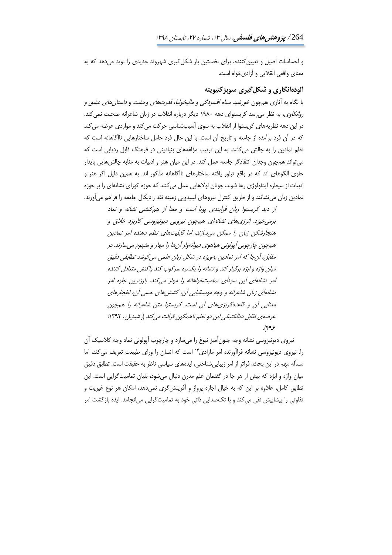264 / **پژوهش های فلسفی**، سال ۱۳، شماره ۲۷، تابستان ۱۳۹۸

و احساسات اصیل و تعیینکننده، برای نخستین بار شکلگیری شهروند جدیدی را نوید میدهد که به معنای واقعی انقالبی و آزادیخواه است.

### **آلودهانگاری و شکلگيری سوبژکتيويته**

با نگاه به آثاری همچون *خورشید سیاه افسردگی و مالیخولیا، قدرتهای وحشت و داستانهای عشق و* ر*وانکاوی*، به نظر می رسد کریستوای دهه ۱۹۸۰ دیگر درباره انقلاب در زبان شاعرانه صحبت نمی کند. در این دهه نظریههای کریستوا از انقالب به سوی آسیبشناسی حرکت میکند و مواردی عرضه میکند که در آن فرد برآمده از جامعه و تاریخ آن است. با این حال فرد حامل ساختارهایی ناآگاهانه است که نظم نمادین را به چالش میکشد. به این ترتیب مؤلفههای بنیادینی در فرهنگ قابل ردیابی است که میتواند همچون وجدان انتقادگر جامعه عمل کند. در این میان هنر و ادبیات به مثابه چالشهایی پایدار حاوی الگوهای اند که در واقع تبلور یافته ساختارهای ناآگاهانه مذکور اند. به همین دلیل اگر هنر و ادبیات از سیطره ایدئولوژی رها شوند، چونان لوالهایی عمل میکنند که حوزه کورای نشانهای را بر حوزه نمادین زبان مینشانند و از طریق کنترل نیروهای لیبیدویی زمینه نقد رادیکال جامعه را فراهم میآورند.

> از دید کریستوا زبان فرایندی پویا است و معنا از همکنشی نشانه و نماد برمیخیزد. انرژیهای نشانهای همچون نیرویی دیونیزوسی کاربرد خالق و هنجارشکن زبان را ممکن میسازند، اما قابلیتهای نظم دهنده امر نمادین همچون چارچوبی آپولونی هیاهوی دیوانهوار آنها را مهار و مفهوم میسازند. در مقابل، آنجا که امر نمادین بهویژه در شکل زبان علمی میکوشد تطابقی دقیق میان واژه و ابژه برقرار کند و نشانه را یکسره سرکوب کند واکنش متعادل کننده امر نشانهای این سودای تمامیتخواهانه را مهار میکند. بارزترین جلوه امر نشانهای زبان شاعرانه و وجه موسیقیایی آن، کششهای حسی آن، انفجارهای معنایی آن و قاعدهگریزیهای آن است. کریستوا متن شاعرانه را همچون عرص*هی تقابل دیالکتیکی این دو نظم ناهمگون قرائت می کند* (رشیدیان، ۱۳۹۳:  $\sqrt{995}$

نیروی دیونیزوسی نشانه وجه جنونآمیز نبوغ را میسازد و چارچوب آپولونی نماد وجه کالسیک آن را. نیروی دیونیزوسی نشانه فراآورنده امر مازادی<sup>۱۴</sup> است که انسان را ورای طبیعت تعریف میکند، اما مسأله مهم در این بحث، فراتر از امر زیباییشناختی، ایدههای سیاسی ناظر به حقیقت است. تطابق دقیق میان واژه و ابژه که بیش از هر جا در گفتمان علم مدرن دنبال میشود، بنیان تمامیتگرایی است. این تطابق کامل، عالوه بر این که به خیال اجازه پرواز و آفرینشگری نمیدهد، امکان هر نوع غیریت و تفاوتی را پیشاپیش نفی میکند و با تکصدایی ذاتی خود به تمامیتگرایی میانجامد. ایده بازگشت امر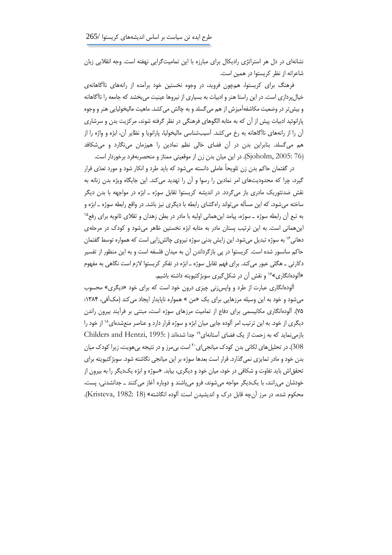نشانهای در دل هر استراتژی رادیکال برای مبارزه با این تمامیتگرایی نهفته است. وجه انقالبی زبان شاعرانه از نظر کریستوا در همین است.

فرهنگ برای کریستوا، همچون فروید، در وجوه نخستین خود برآمده از رانههای ناآگاهانهی خیالپردازی است. در این راستا هنر و ادبیات به بسیاری از نیروها عینیت میبخشد که جامعه را ناآگاهانه و بیشتر در وضعیت مکاشفهآمیزش از هم میگسلد و به چالش میکشد. ماهیت مالیخولیایی هنر و وجوه پارانوئید ادبیات پیش از آن که به مثابه الگوهای فرهنگی در نظر گرفته شوند، مرکزیت بدن و سرشاری آن را از رانههای ناآگاهانه به رخ میکشد. آسیبشناسی مالیخولیا، پارانویا و نظایر آن، ابژه و واژه را از هم میگسلد. بنابراین بدن در آن فضای خالی نظم نمادین را همزمان مینگارد و میشکافد )76 2005: ,Sjoholm). در این میان بدن زن از موقعیتی ممتاز و منحصربهفرد برخوردار است.

در گفتمان حاکم بدن زن تلویحاً عاملی دانسته میشود که باید طرد و انکار شود و مورد تعدّی قرار گیرد، چرا که محدودیتهای امر نمادین را رسوا و آن را تهدید میکند. این جایگاه ویژه بدن زنانه به نقش ضدتئوریک مادری باز میگردد. در اندیشه کریستوا تقابل سوژه ـ ابژه در مواجهه با بدن دیگر ساخته میشود، که این مسأله میتواند راهگشای رابطه با دیگری نیز باشد. در واقع رابطه سوژه ـ ابژه و به تبع آن رابطه سوژه ـ سوژه، پیامد اینهمانی اولیه با مادر در بطن زهدان و تقلای ثانویه برای رفع<sup>۱۵</sup> اینهمانی است. به این ترتیب پستان مادر به مثابه ابژه نخستین ظاهر میشود و کودک در مرحلهی دهانی<sup>۱۶</sup> به سوژه تبدیل میشود. این زایش بدنی سوژه نیروی چالشiایی است که همواره توسط گفتمان حاکم سانسور شده است. کریستوا در پی بازگرداندن آن به میدان فلسفه است و به این منظور از تفسیر دکارتی ـ هگلی عبور میکند. برای فهم تقابل سوژه ـ ابژه در تفکر کریستوا الزم است نگاهی به مفهوم «آلودهانگاری»<sup>۱۷</sup> و نقش آن در شکل $\mathbb{R}_{\geq 0}$ یری سوبژکتیویته داشته باشیم.

آلودهانگاری عبارت از طرد و واپسزنی چیزی درون خود است که برای خود »دیگری« محسوب میشود و خود به این وسیله مرزهایی برای یک «من » همواره ناپایدار ایجاد میکند (مکآفی، ۱۳۸۴: 22(. آلودهانگاری مکانیسمی برای دفاع از تمامیت مرزهای سوژه است، مبتنی بر فرآیند بیرون راندن دیگری از خود. به این ترتیب امر آلوده جایی میان ابژه و سوژه قرار دارد و عناصر منعشدهای^` از خود را  $Childers$  and Hentzi, 1995: ) بازمینماید که به زحمت از یک فضای آستانهای<sup>۹</sup>۰ جدا شدهاند است بی مرز و در نتیجه بی هویت، زیرا کودک میانجیای $^{\rm Y}$ است بی مرز و در نتیجه بی هویت، زیرا کودک میان (308 بدن خود و مادر تمایزی نمیگذارد. قرار است بعدها سوژه بر این میانجی نگاشته شود. سوبژکتیویته برای تحققاش باید تفاوت و شکافی در خود، میان خود و دیگری، بیابد. »سوژه و ابژه یکدیگر را به بیرون از خودشان میرانند، با یکدیگر مواجه میشوند، فرو میپاشند و دوباره آغاز میکنند ـ جدانشدنی، پست، محکوم شده، در مرز آنچه قابل درک و اندیشیدن است: آلوده انگاشته« )18 1982: ,Kristeva).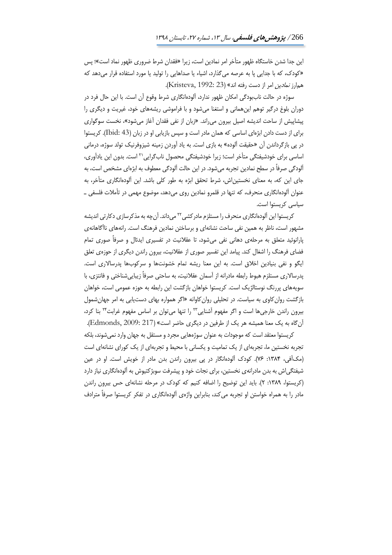این جدا شدن خاستگاه ظهور متأخر امر نمادین است، زیرا »فقدان شرط ضروری ظهور نماد است«؛ پس »کودک، که با جدایی پا به عرصه میگذارد، اشیاء یا صداهایی را تولید یا مورد استفاده قرار میدهد که همارز *نمادین* امر از دست رفته اند» (Kristeva, 1992: 23).

سوژه در حالت ناببودگی امکان ظهور ندارد، آلودهانگاری شرط وقوع آن است. با این حال فرد در دوران بلوغ درگیر توهم اینهمانی و استغنا میشود و با فراموشی ریشههای خود، غیریت و دیگری را پیشاپیش از ساحت اندیشه اصیل بیرون میراند. »زبان از نفی فقدان آغاز میشود«، نخست سوگواری برای از دست دادن ابژهای اساسی که همان مادر است و سپس بازیابی او در زبان )43 :Ibid). کریستوا در پی بازگرداندن آن »حقیقت آلوده« به بازی است. به یاد آوردن زمینه شیزوفرنیک تولد سوژه، درمانی اساسی برای خودشیفتگی متأخر است؛ زیرا خودشیفتگی محصول نابگرایی<sup>۲۱</sup> است. بدون این یادآوری، آلودگی صرفاً در سطح نمادین تجربه میشود. در این حالت آلودگی معطوف به ابژهای مشخص است، به جای این که، به معنای نخستیناش، شرط تحقق ابژه به طور کلی باشد. این آلودهانگاری متأخر، به عنوان آلودهانگاری منحرف، که تنها در قلمرو نمادین روی میدهد، موضوع مهمی در تأمالت فلسفی ـ سیاسی کریستوا است.

کریستوا این آلودهانگاری منحرف را مستلزم مادر کشی<sup>۲۲</sup> میداند. آن چه به مذکرسازی دکارتی اندیشه مشهور است، ناظر به همین نفی ساحت نشانهای و برساختن نمادین فرهنگ است. رانههای ناآگاهانهی پارانوئید متعلق به مرحلهی دهانی نفی میشود، تا عقالنیت در تفسیری ایدئال و صرفاً صوری تمام فضای فرهنگ را اشغال کند. پیامد این تفسیر صوری از عقالنیت، بیرون راندن دیگری از حوزهی تعلق ایگو و نفی بنیادین اخالق است. به این معنا ریشه تمام خشونتها و سرکوبها پدرساالری است. پدرساالری مستلزم هبوط رابطه مادرانه از آسمان عقالنیت، به ساحتی صرفاً زیباییشناختی و فانتزی، با سویههای پررنگ نوستالژیک است. کریستوا خواهان بازگشت این رابطه به حوزه عمومی است، خواهان بازگشت روانکاوی به سیاست. در تحلیلی روانکاوانه »اگر همواره بهای دستیابی به امر جهانشمول بیرون راندن خارجیها است و اگر مفهوم آشنایی™ را تنها میتوان بر اساس مفهوم غرابت<sup>۳۴</sup> بنا کرد، آنگاه به یک معنا همیشه هر یک از طرفین در دیگری حاضر است« )217 2009: ,Edmonds).

کریستوا معتقد است که موجودات به عنوان سوژههایی مجرد و مستقل به جهان وارد نمیشوند، بلکه تجربه نخستین ما، تجربهای از یک تمامیت و یکسانی با محیط و تجربهای از یک کورای نشانهای است )مکآفی، :3114 24(. کودک آلودهانگار در پی بیرون راندن بدن مادر از خویش است. او در عین شیفتگیاش به بدن مادرانهی نخستین، برای نجات خود و پیشرفت سوبژکتیوش به آلودهانگاری نیاز دارد )کریستوا، :3113 7(. باید این توضیح را اضافه کنیم که کودک در مرحله نشانهای حس بیرون راندن مادر را به همراه خواستن او تجربه میکند، بنابراین واژهی آلودهانگاری در تفکر کریستوا صرفاً مترادف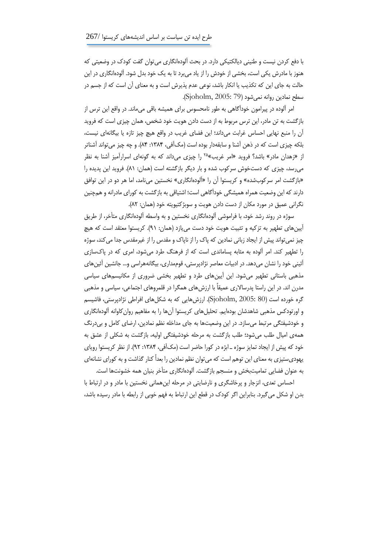با دفع کردن نیست و طنینی دیالکتیکی دارد. در بحث آلودهانگاری میتوان گفت کودک در وضعیتی که هنوز با مادرش یکی است، بخشی از خودش را از یاد میبرد تا به یک خود بدل شود. آلودهانگاری در این حالت به جای این که تکذیب یا انکار باشد، نوعی عدم پذیرش است و به معنای آن است که از جسم در سطح نمادین روانه نمیشود )79 2005: ,Sjoholm).

امر آلوده در پیرامون خودآگاهی به طور نامحسوس برای همیشه باقی میماند. در واقع این ترس از بازگشت به تن مادر، این ترس مربوط به از دست دادن هویت خود شخص، همان چیزی است که فروید آن را منبع نهایی احساس غرابت میداند؛ این فضای غریب در واقع هیچ چیز تازه یا بیگانهای نیست، بلکه چیزی است که در ذهن آشنا و سابقهدار بوده است (مکآفی، ۱۳۸۴: ۸۴). و چه چیز میتواند آشناتر از «زهدان مادر» باشد؟ فروید «امر غریب»۲° را چیزی میداند که به گونهای اسرارآمیز آشنا به نظر میرسد، چیزی که دستخوش سرکوب شده و بار دیگر بازگشته است (همان: ۸۱). فروید این پدیده را »بازگشت امر سرکوبشده« و کریستوا آن را »آلودهانگاری« نخستین مینامد، اما هر دو در این توافق دارند که این وضعیت همراه همیشگی خودآگاهی است؛ اشتیاقی به بازگشت به کورای مادرانه و همچنین نگرانی عمیق در مورد مکان از دست دادن هویت و سوبژکتیویته خود (همان: ۸۲).

سوژه در روند رشد خود، با فراموشی آلودهانگاری نخستین و به واسطه آلودهانگاری متأخر، از طریق آیینهای تطهیر به تزکیه و تثبیت هویت خود دست مییازد )همان: 33(. کریستوا معتقد است که هیچ چیز نمیتواند پیش از ایجاد زبانی نمادین که پاک را از ناپاک و مقدس را از غیرمقدس جدا میکند، سوژه را تطهیر کند. امر آلوده به مثابه پساماندی است که از فرهنگ طرد میشود، امری که در پاکسازی آئینی خود را نشان میدهد. در ادبیات معاصر نژادپرستی، قوممداری، بیگانههراسی و... جانشین آئینهای مذهبی باستانی تطهیر میشود. این آیینهای طرد و تطهیر بخشی ضروری از مکانیسمهای سیاسی مدرن اند. در این راستا پدرساالری عمیقاً با ارزشهای همگرا در قلمروهای اجتماعی، سیاسی و مذهبی گره خورده است (80  $\mathrm{Sjoblm}, \mathrm{Q005}$ ). ارزشهایی که به شکلهای افراطی نژادپرستی، فاشیسم و اورتودکس مذهبی شاهدشان بودهایم. تحلیلهای کریستوا آنها را به مفاهیم روانکاوانه آلودهانگاری و خودشیفتگی مرتبط میسازد. در این وضعیتها به جای مداخله نظم نمادین، ارضای کامل و بیدرنگ همهی امیال طلب میشود؛ طلب بازگشت به مرحله خودشیفتگی اولیه، بازگشت به شکلی از عشق به خود که پیش از ایجاد تمایز سوژه ـ ابژه در کورا حاضر است (مکآفی، ۱۳۸۴: ۹۲). از نظر کریستوا رویای یهودیستیزی به معنای این توهم است که میتوان نظم نمادین را بعداً کنار گذاشت و به کورای نشانهای به عنوان فضایی تمامیتبخش و منسجم بازگشت. آلودهانگاری متأخر بنیان همه خشونتها است.

احساس تعدی، انزجار و پرخاشگری و نارضایتی در مرحله اینهمانی نخستین با مادر و در ارتباط با بدن او شکل میگیرد. بنابراین اگر کودک در قطع این ارتباط به فهم خوبی از رابطه با مادر رسیده باشد،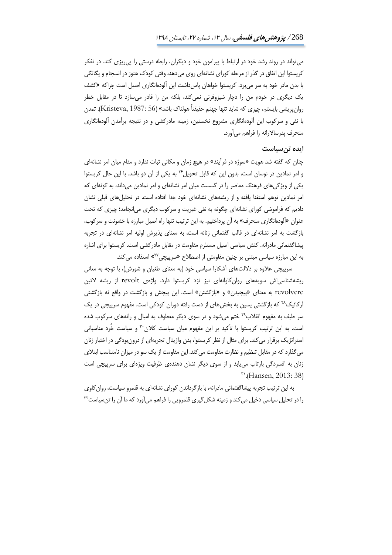میتواند در روند رشد خود در ارتباط با پیرامون خود و دیگران، رابطه درستی را پیریزی کند. در تفکر کریستوا این اتفاق در گذر از مرحله کورای نشانهای روی میدهد، وقتی کودک هنوز در انسجام و یگانگی با بدن مادر خود به سر میبرد. کریستوا خواهان پاسداشت این آلودهانگاری اصیل است چراکه »کشف یک دیگری در خودم من را دچار شیزوفرنی نمیکند، بلکه من را قادر میسازد تا در مقابل خطر روانپریشی بایستم، چیزی که شاید تنها جهنم حقیقتاً هولناک باشد« )56 1987: ,Kristeva). تمدن با نفی و سرکوب این آلودهانگاری مشروع نخستین، زمینه مادرکشی و در نتیجه برآمدن آلودهانگاری منحرف پدرساالرانه را فراهم میآورد.

#### **ايده تنسياست**

چنان که گفته شد هویت »سوژه در فرآیند« در هیچ زمان و مکانی ثبات ندارد و مدام میان امر نشانهای و امر نمادین در نوسان است، بدون این که قابل تحویل<sup>7۶</sup> به یکی از آن دو باشد. با این حال کریستوا یکی از ویژگیهای فرهنگ معاصر را در گسست میان امر نشانهای و امر نمادین میداند، به گونهای که امر نمادین توهم استغنا یافته و از ریشههای نشانهای خود جدا افتاده است. در تحلیلهای قبلی نشان دادیم که فراموشی کورای نشانهای چگونه به نفی غیریت و سرکوب دیگری میانجامد؛ چیزی که تحت عنوان «آلودهانگاری منحرف» به آن پرداختیم. به این ترتیب تنها راه اصیل مبارزه با خشونت و سرکوب، بازگشت به امر نشانهای در قالب گفتمانی زنانه است، به معنای پذیرش اولیه امر نشانهای در تجربه پیشاگفتمانی مادرانه. کنش سیاسی اصیل مستلزم مقاومت در مقابل مادرکشی است. کریستوا برای اشاره به این مبارزه سیاسی مبتنی بر چنین مقاومتی از اصطلاح «سرپیچی<sup>۲۷</sup>» استفاده می کند.

سرپیچی عالوه بر داللتهای آشکارا سیاسی خود )به معنای طغیان و شورش(، با توجه به معانی ریشهشناسیاش سویههای روانکاوانهای نیز نزد کریستوا دارد. واژهی revolt از ریشه التین revolvere به معنای »پیچیدن« و »بازگشتن« است. این پیچش و بازگشت در واقع نه بازگشتی آر کائیک™ که بازگشتی پسین به بخشهای از دست رفته دوران کودکی است. مفهوم سرپیچی در یک سر طیف به مفهوم انقلاب<sup>۲۹</sup> ختم میشود و در سوی دیگر معطوف به امیال و رانههای سرکوب شده است. به این ترتیب کریستوا با تأکید بر این مفهوم میان سیاست کلان<sup>۳۰</sup> و سیاست خُرد مناسباتی استراتژیک برقرار میکند. برای مثال از نظر کریستوا، بدن واژینال تجربهای از درونبودگی در اختیار زنان میگذارد که در مقابل تنظیم و نظارت مقاومت میکند. این مقاومت از یک سو در میزان نامتناسب ابتالی زنان به افسردگی بارتاب مییابد و از سوی دیگر نشان دهندهی ظرفیت ویژهای برای سرپیچی است r<sup>o</sup>.(Hansen, 2013: 38)

به این ترتیب تجربه پیشاگفتمانی مادرانه، با بازگرداندن کورای نشانهای به قلمرو سیاست، روانکاوی 17 را در تحلیل سیاسی دخیل میکند و زمینه شکلگیری قلمرویی را فراهم میآورد که ما آن را تنسیاست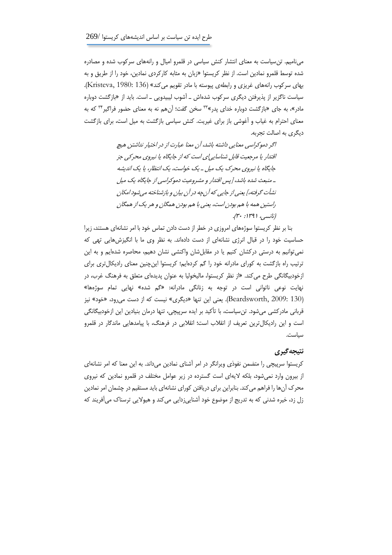مینامیم. تنسیاست به معنای انتشار کنش سیاسی در قلمرو امیال و رانههای سرکوب شده و مصادره شده توسط قلمرو نمادین است. از نظر کریستوا »زبان به مثابه کارکردی نمادین، خود را از طریق و به بهای سرکوب رانههای غریزی و رابطهی پیوسته با مادر تقویم میکند« )136 1980: ,Kristeva). سیاست ناگزیر از پذیرفتن دیگری سرکوب شدهاش ـ آشوب لیبیدویی ـ است. باید از »بازگشت دوباره مادر»، به جای «بازگشت دوباره خدای پدر»<sup>۳۳</sup> سخن گفت؛ آنهم نه به معنای حضور فراگیر <sup>۳۴</sup> که به معنای احترام به غیاب و آغوشی باز برای غیریت. کنش سیاسی بازگشت به میل است، برای بازگشت دیگری به اصالت تجربه.

> اگر دموکراسی معنایی داشته باشد، آن معنا عبارت از در اختیار نداشتن هیچ اقتدار یا مرجعیت قابل شناساییای است که از جایگاه یا نیروی محرکی جز جایگاه یا نیروی محرک یک میل ـ یک خواست، یک انتظار، یا یک اندیشه ـ منبعث شده باشد، ]پس اقتدار و مشروعیت دموکراسی از جایگاه یک میل نشأت گرفته،[ یعنی از جایی که آنچه در آن بیان و بازشناخته میشود امکان راستین همه با هم بودن است، یعنی با هم بودن همگان و هر یک از همگان )نانسی، :3133 11(.

بنا بر نظر کریستوا سوژههای امروزی در خطر از دست دادن تماس خود با امر نشانهای هستند، زیرا حساسیت خود را در قبال انرژی نشانهای از دست دادهاند. به نظر وی ما با انگیزشهایی تهی که نمیتوانیم به درستی درکشان کنیم یا در مقابلشان واکنشی نشان دهیم، محاصره شدهایم و به این ترتیب راه بازگشت به کورای مادرانه خود را گم کردهایم؛ کریستوا اینچنین معنای رادیکالتری برای ازخودبیگانگی طرح میکند. »از نظر کریستوا، مالیخولیا به عنوان پدیدهای متعلق به فرهنگ غرب، در نهایت نوعی ناتوانی است در توجه به زنانگی مادرانه: »گم شده« نهایی تمام سوژهها« )130 2009: ,Beardsworth). یعنی این تنها »دیگری« نیست که از دست میرود، »خود« نیز قربانی مادرکشی میشود. تنسیاست، با تأکید بر ایده سرپیچی، تنها درمان بنیادین این ازخودبیگانگی است و این رادیکالترین تعریف از انقالب است؛ انقالبی در فرهنگ، با پیامدهایی ماندگار در قلمرو سیاست.

## **نتيجهگيری**

کریستوا سرپیچی را متضمن نفوذی ویرانگر در امر آشنای نمادین میداند. به این معنا که امر نشانهای از بیرون وارد نمیشود، بلکه الیهای است گسترده در زیر عوامل مختلف در قلمرو نمادین که نیروی محرک آنها را فراهم میکند. بنابراین برای دریافتن کورای نشانهای باید مستقیم در چشمان امر نمادین زل زد، خیره شدنی که به تدریج از موضوع خود آشناییزدایی میکند و هیوالیی ترسناک میآفریند که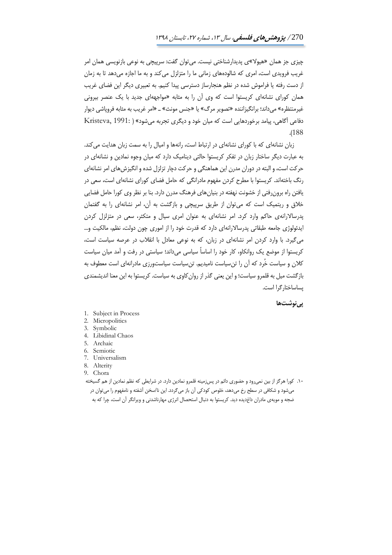چیزی جز همان »هیوال«ی پدیدارشناختی نیست. میتوان گفت: سرپیچی به نوعی بازنویسی همان امر غریب فرویدی است، امری که شالودههای زمانی ما را متزلزل میکند و به ما اجازه میدهد تا به زمان از دست رفته یا فراموش شده در نظم هنجارساز دسترسی پیدا کنیم. به تعبیری دیگر این فضای غریب همان کورای نشانهای کریستوا است که وی آن را به مثابه »مواجههای جدید با یک عنصر بیرونی غیرمنتظره« میداند؛ برانگیزاننده »تصویر مرگ« یا »جنس مونث« ـ »امر غریب به مثابه فروپاشی دیوار دفاعی آگاهی، پیامد برخوردهایی است که میان خود و دیگری تجربه میشود« ) 1991: ,Kristeva .)188

زبان نشانهای که با کورای نشانهای در ارتباط است، رانهها و امیال را به سمت زبان هدایت میکند. به عبارت دیگر ساختار زبان در تفکر کریستوا حالتی دینامیک دارد که میان وجوه نمادین و نشانهای در حرکت است، و البته در دوران مدرن این هماهنگی و حرکت دچار تزلزل شده و انگیزشهای امر نشانهای رنگ باختهاند. کریستوا با مطرح کردن مفهوم مادرانگی که حامل فضای کورای نشانهای است، سعی در یافتن راه برونرفتی از خشونت نهفته در بنیانهای فرهنگ مدرن دارد. بنا بر نظر وی کورا حامل فضایی خالق و ریتمیک است که میتوان از طریق سرپیچی و بازگشت به آن، امر نشانهای را به گفتمان پدرساالرانهی حاکم وارد کرد. امر نشانهای به عنوان امری سیال و متکثر، سعی در متزلزل کردن ایدئولوژی جامعه طبقاتی پدرساالرانهای دارد که قدرت خود را از اموری چون دولت، نظم، مالکیت و... میگیرد. با وارد کردن امر نشانهای در زبان، که به نوعی معادل با انقالب در عرصه سیاست است، کریستوا از موضع یک روانکاو، کار خود را اساساً سیاسی میداند؛ سیاستی در رفت و آمد میان سیاست کالن و سیاست خُرد که آن را تنسیاست نامیدیم. تنسیاست سیاستورزی مادرانهای است معطوف به بازگشت میل به قلمرو سیاست؛ و این یعنی گذر از روانکاوی به سیاست. کریستوا به این معنا اندیشمندی پساساختارگرا است.

**پینوشتها**

- 1. Subject in Process
- 2. Micropolitics
- 3. Symbolic
- 4. Libidinal Chaos
- 5. Archaic
- 6. Semiotic
- 7. Universalism
- 8. Alterity
- 9. Chora

.31 کورا هرگز از بین نمیرود و حضوری دائم در پسزمینه قلمرو نمادین دارد. در شرایطی که نظم نمادین از هم گسیخته میشود و شکافی در سطح رخ میدهد، خلوص کودکی آن باز میگردد. این نا/سخن آشفته و نامفهوم را میتوان در ضجه و مویهی مادران داغدیده دید. کریستوا به دنبال استحصال انرژی مهارناشدنی و ویرانگر آن است، چرا که به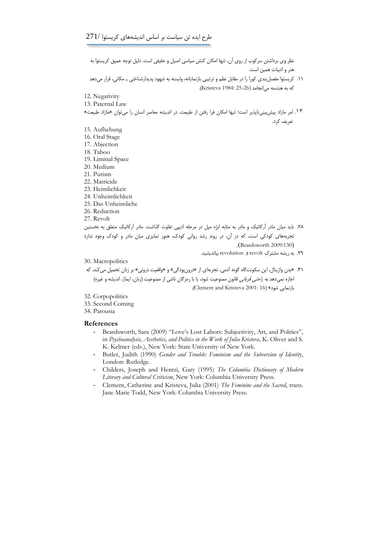نظر وی برداشتن سرکوب از روی آن، تنها امکان کنش سیاسی اصیل و حقیقی است. دلیل توجه عمیق کریستوا به هنر و ادبیات همین است.

- .33 کریستوا مفصلبندی کورا را در مقابل نظم و ترتیبی بازنمایانه، وابسته به شهود پدیدارشناختی ـ مکانی، قرار میدهد که به هندسه میانجامد )25-26 1984: Kristeva).
- 12. Negativity
- 13. Paternal Law
- .41 امر مازاد پیشبینیناپذیر است؛ تنها امکان فرا رفتن از طبیعت. در اندیشه معاصر انسان را میتوان »مازاد طبیعت« تعریف کرد.
- 15. Aufhebung
- 16. Oral Stage
- 17. Abjection
- 18. Taboo
- 19. Liminal Space
- 20. Medium
- 21. Purism
- 22. Matricide
- 23. Heimlichkeit
- 24. Unheimlichkeit
- 25. Das Unheimliche
- 26. Reduction 27. Revolt
- .71 باید میان مادر آرکائیک و مادر به مثابه ابژه میل در مرحله ادیپی تفاوت گذاشت. مادر آرکائیک متعلق به نخستین تجربههای کودکی است، که در آن، در روند رشد روانی کودک، هنوز تمایزی میان مادر و کودک وجود ندارد .)Beardsworth 2009:130(
	- .73 به ریشه مشترک revolt و revolution بیاندیشید.

30. Macropolitics

- .13 »بدن واژینال، این سکونتگاه گونه آدمی، تجربهای از »درونبودگی« و »واقعیت درونی« بر زنان تحمیل میکند، که اجازه نمیدهد *به راحتی قربانی* قانون ممنوعیت شود، یا با رمزگان ناشی از ممنوعیت (زبان، ایماژ، اندیشه و غیره) .)Clement and Kristeva 2001: 16( »شود بازنمایی
- 32. Corpopolitics
- 33. Second Coming
- 34. Parousia

#### **References**

- Beardsworth, Sara (2009) "Love's Lost Labors: Subjectivity, Art, and Politics", in *Psychoanalysis, Aesthetics, and Politics in the Work of Julia Kristeva*, K. Oliver and S. K. Keltner (eds.), New York: State University of New York.
- Butler, Judith (1990) *Gender and Trouble: Feminism and the Subversion of Identity*, London: Rutledge.
- Childers, Joseph and Hentzi, Gary (1995) *The Columbia Dictionary of Modern Literary and Cultural Criticism*, New York: Columbia University Press.
- Clement, Catherine and Kristeva, Julia (2001) *The Feminine and the Sacred*, trans. Jane Marie Todd, New York: Columbia University Press.